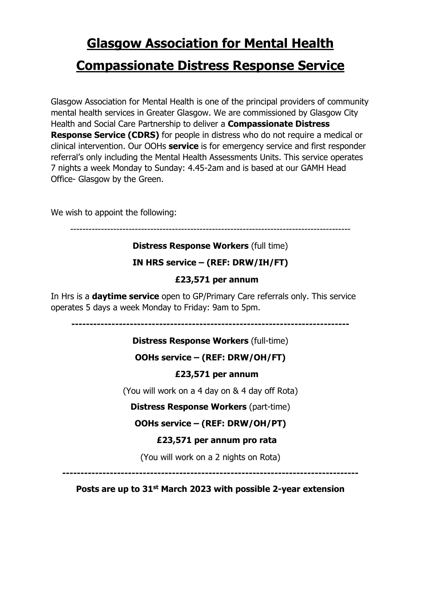# **Glasgow Association for Mental Health Compassionate Distress Response Service**

Glasgow Association for Mental Health is one of the principal providers of community mental health services in Greater Glasgow. We are commissioned by Glasgow City Health and Social Care Partnership to deliver a **Compassionate Distress Response Service (CDRS)** for people in distress who do not require a medical or clinical intervention. Our OOHs **service** is for emergency service and first responder referral's only including the Mental Health Assessments Units. This service operates 7 nights a week Monday to Sunday: 4.45-2am and is based at our GAMH Head Office- Glasgow by the Green.

We wish to appoint the following:

-------------------------------------------------------------------------------------------

## **Distress Response Workers** (full time)

## **IN HRS service – (REF: DRW/IH/FT)**

#### **£23,571 per annum**

In Hrs is a **daytime service** open to GP/Primary Care referrals only. This service operates 5 days a week Monday to Friday: 9am to 5pm.

**----------------------------------------------------------------------------**

## **Distress Response Workers** (full-time)

# **OOHs service – (REF: DRW/OH/FT)**

## **£23,571 per annum**

(You will work on a 4 day on & 4 day off Rota)

## **Distress Response Workers** (part-time)

## **OOHs service – (REF: DRW/OH/PT)**

## **£23,571 per annum pro rata**

(You will work on a 2 nights on Rota)

**---------------------------------------------------------------------------------**

## **Posts are up to 31st March 2023 with possible 2-year extension**